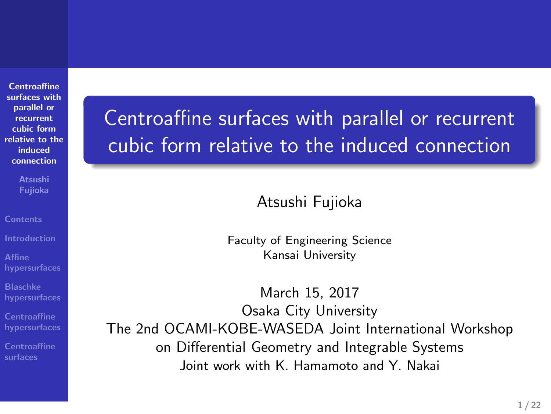**Centroaffine surfaces with parallel or recurrent cubic form relative to the induced connection**

**Atsushi Fujioka**

**Affine hypersurfaces**

**Blaschke hypersurfaces**

**Centroaffine hypersurfaces**

**Centroaffine surfaces**

Centroaffine surfaces with parallel or recurrent cubic form relative to the induced connection

Atsushi Fujioka

Faculty of Engineering Science Kansai University

March 15, 2017 Osaka City University The 2nd OCAMI-KOBE-WASEDA Joint International Workshop on Differential Geometry and Integrable Systems Joint work with K. Hamamoto and Y. Nakai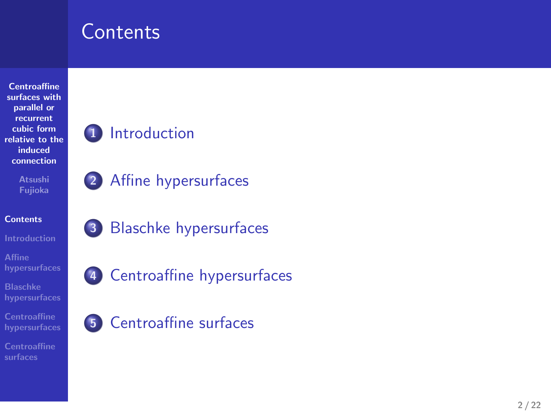## **Contents**



**Centroaffine surfaces**

- **1** Introduction
- **2** Affine hypersurfaces

**3** Blaschke hypersurfaces

**4** Centroaffine hypersurfaces

**5** Centroaffine surfaces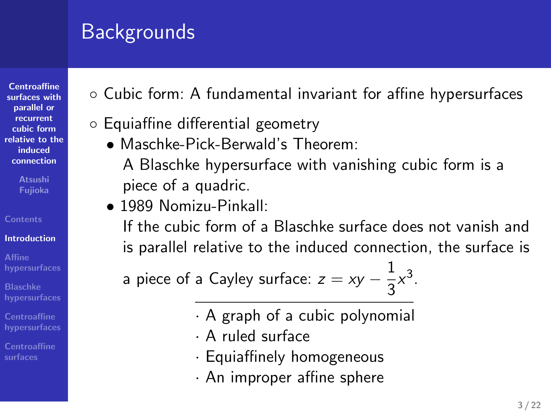## Backgrounds

*◦* Equiaffine differential geometry

piece of a quadric. *•* 1989 Nomizu-Pinkall:

*•* Maschke-Pick-Berwald's Theorem:

- **Centroaffine surfaces with parallel or recurrent cubic form relative to the induced connection**
- 

#### **Contents Introduction**

- **Affine hypersurfaces Blaschke hypersurfaces**
- **Centroaffine hypersurfaces**
- **Centroaffine surfaces**
- 
- *·* Equiaffinely homogeneous *·* An improper affine sphere

*·* A graph of a cubic polynomial

a piece of a Cayley surface:  $z = xy - \frac{1}{2}$ 

*·* A ruled surface

*◦* Cubic form: A fundamental invariant for affine hypersurfaces

A Blaschke hypersurface with vanishing cubic form is a

If the cubic form of a Blaschke surface does not vanish and is parallel relative to the induced connection, the surface is

 $\frac{1}{3}x^3$ .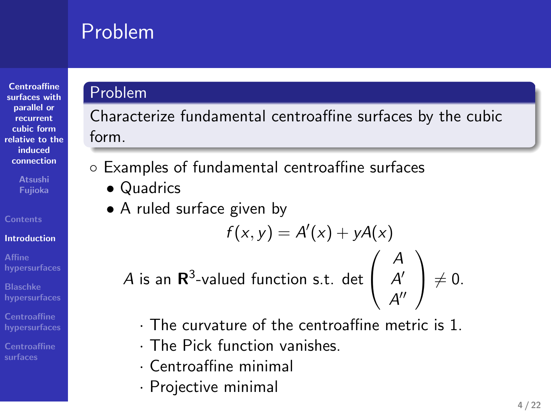## Problem

Problem

*•* Quadrics

form.

**Centroaffine surfaces with parallel or recurrent cubic form relative to the induced connection**

**Introduction**

**Affine hypersurfaces**

**Blaschke hypersurfaces Centroaffine hypersurfaces**

**Centroaffine surfaces**

*·* Projective minimal

*·* Centroaffine minimal

*•* A ruled surface given by

Characterize fundamental centroaffine surfaces by the cubic

 $f(x, y) = A'(x) + yA(x)$ 

*·* The curvature of the centroaffine metric is 1.

 $\sqrt{ }$  $\mathcal{L}$ 

*A A ′ A ′′*  $\setminus$ 

 $\neq 0$ .

*◦* Examples of fundamental centroaffine surfaces

*A* is an **R** 3 -valued function s.t. det

*·* The Pick function vanishes.

#### **4 / 22**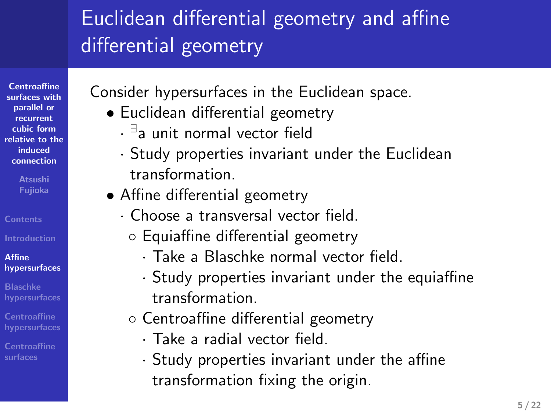## Euclidean differential geometry and affine differential geometry

*·* Study properties invariant under the Euclidean

Consider hypersurfaces in the Euclidean space.

*·* Choose a transversal vector field. *◦* Equiaffine differential geometry

*◦* Centroaffine differential geometry *·* Take a radial vector field.

*•* Euclidean differential geometry *· ∃* a unit normal vector field

*•* Affine differential geometry

transformation.

transformation.

**Centroaffine surfaces with parallel or recurrent cubic form relative to the induced connection**

**Fujioka**

**Contents**

**Affine hypersurfaces**

**Blaschke hypersurfaces**

- **Centroaffine surfaces**
- transformation fixing the origin.

*·* Study properties invariant under the affine

*·* Take a Blaschke normal vector field.

*·* Study properties invariant under the equiaffine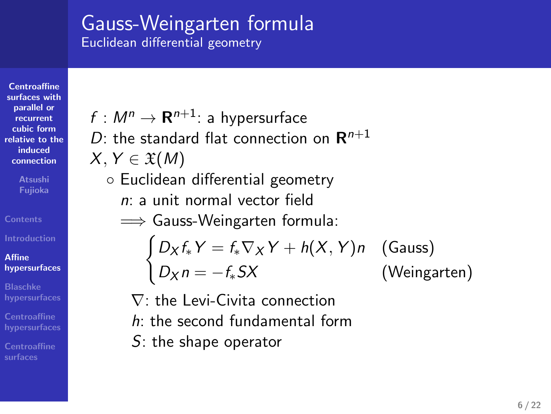#### Gauss-Weingarten formula Euclidean differential geometry

**Centroaffine surfaces with parallel or recurrent cubic form relative to the induced connection**

**Atsushi Fujioka**

#### **Affine hypersurfaces**

**Blaschke hypersurfaces Centroaffine hypersurfaces Centroaffine surfaces**

 $f : M^n \rightarrow \mathbf{R}^{n+1}$ : a hypersurface

D: the standard flat connection on 
$$
\mathbb{R}^{n+1}
$$

$$
X,Y\in\mathfrak{X}(M)
$$

*◦* Euclidean differential geometry

*n*: a unit normal vector field

=*⇒* Gauss-Weingarten formula:

$$
\begin{cases} D_X f_* Y = f_* \nabla_X Y + h(X, Y) n \quad \text{(Gauss)}\\ D_X n = -f_* S X \qquad \qquad \text{(Weingarten)} \end{cases}
$$

*∇*: the Levi-Civita connection *h*: the second fundamental form

*S*: the shape operator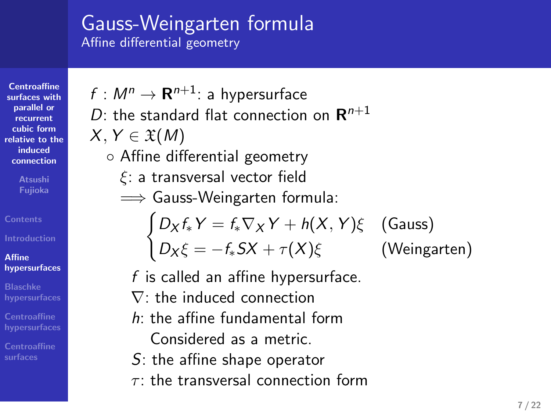#### Gauss-Weingarten formula Affine differential geometry

 $f : M^n \rightarrow \mathbf{R}^{n+1}$ : a hypersurface

*◦* Affine differential geometry *ξ*: a transversal vector field =*⇒* Gauss-Weingarten formula:

*X, Y ∈* X(*M*)

*D*: the standard flat connection on **R** *n*+1

 $\int D_X f_* Y = f_* \nabla_X Y + h(X, Y) \xi$  (Gauss)

 $D_X \xi = -f_* S X + \tau(X) \xi$  (Weingarten)

**Centroaffine surfaces with parallel or recurrent cubic form relative to the induced connection**

**Affine**

**hypersurfaces Blaschke hypersurfaces**

**Centroaffine surfaces**

*S*: the affine shape operator *τ* : the transversal connection form

*f* is called an affine hypersurface. *∇*: the induced connection *h*: the affine fundamental form Considered as a metric.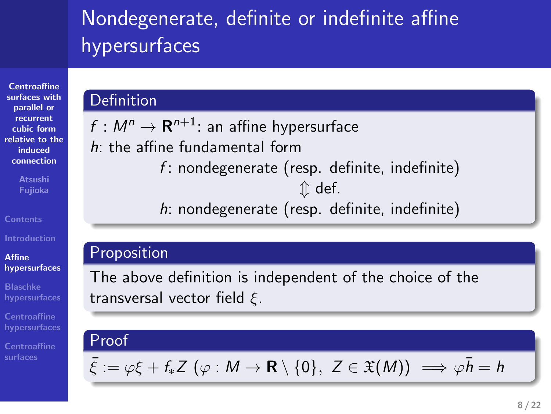## Nondegenerate, definite or indefinite affine hypersurfaces

*f* : nondegenerate (resp. definite, indefinite) *⇕* def. *h*: nondegenerate (resp. definite, indefinite)

The above definition is independent of the choice of the

### **Centroaffine surfaces with parallel or recurrent cubic form relative to the induced connection**

**Contents**

**Affine hypersurfaces**

**Blaschke hypersurfaces Centroaffine hypersurfaces**

**Centroaffine surfaces**

Proof

Definition

Proposition

 $\bar{\xi} := \varphi \xi + f_* Z \ (\varphi : M \to \mathbf{R} \setminus \{0\}, Z \in \mathfrak{X}(M)) \implies \varphi \bar{h} = h$ 

 $f : M^n \to \mathbf{R}^{n+1}$ : an affine hypersurface

*h*: the affine fundamental form

transversal vector field *ξ*.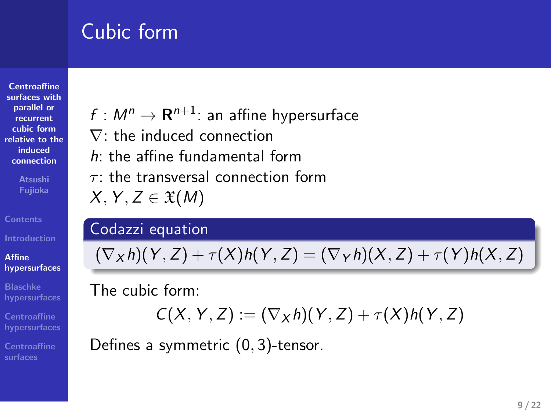## Cubic form

**Centroaffine surfaces with parallel or recurrent cubic form relative to the induced connection Atsushi Fujioka**

**Affine hypersurfaces**

**Blaschke hypersurfaces Centroaffine hypersurfaces**

**Centroaffine surfaces**

Codazzi equation

 $f : M^n \to \mathbf{R}^{n+1}$ : an affine hypersurface

*∇*: the induced connection *h*: the affine fundamental form *τ* : the transversal connection form

 $(\nabla_X h)(Y, Z) + \tau(X)h(Y, Z) = (\nabla_Y h)(X, Z) + \tau(Y)h(X, Z)$ 

The cubic form:

 $X, Y, Z \in \mathfrak{X}(M)$ 

$$
C(X, Y, Z) := (\nabla_X h)(Y, Z) + \tau(X)h(Y, Z)
$$

Defines a symmetric (0*,* 3)-tensor.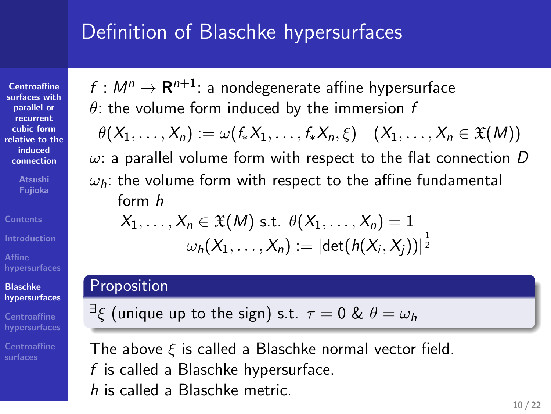### Definition of Blaschke hypersurfaces

 $f : M^n \rightarrow \mathbf{R}^{n+1}$ : a nondegenerate affine hypersurface *θ*: the volume form induced by the immersion *f*

 $\theta(X_1, \ldots, X_n) := \omega(f_*X_1, \ldots, f_*X_n, \xi) \quad (X_1, \ldots, X_n \in \mathfrak{X}(M))$ *ω*: a parallel volume form with respect to the flat connection *D ωh*: the volume form with respect to the affine fundamental

 $\omega_h(X_1,\ldots,X_n):=|\mathrm{det}(h(X_i,X_j))|^{\frac{1}{2}}$ 

**Centroaffine surfaces with parallel or recurrent cubic form relative to the induced connection**

**Contents Affine hypersurfaces**

**Fujioka**

form *h*

Proposition

**Blaschke hypersurfaces**

**Centroaffine surfaces**

The above *ξ* is called a Blaschke normal vector field. *f* is called a Blaschke hypersurface. *h* is called a Blaschke metric.

*∃ ξ* (unique up to the sign) s.t. *τ* = 0 & *θ* = *ω<sup>h</sup>*

 $X_1, \ldots, X_n \in \mathfrak{X}(M)$  s.t.  $\theta(X_1, \ldots, X_n) = 1$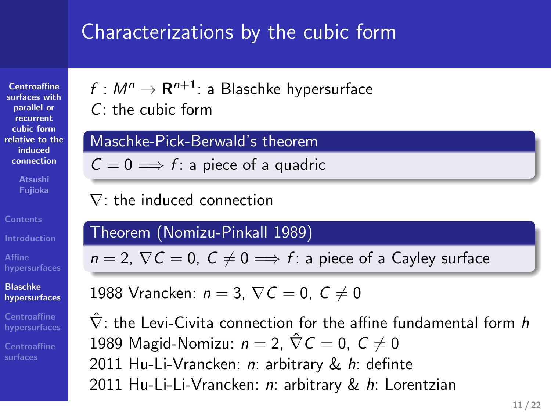## Characterizations by the cubic form

**Centroaffine surfaces with parallel or recurrent cubic form relative to the induced connection Fujioka**

**Affine hypersurfaces Blaschke hypersurfaces**

**Centroaffine surfaces**

 $f : M^n \rightarrow \mathbf{R}^{n+1}$ : a Blaschke hypersurface *C*: the cubic form Maschke-Pick-Berwald's theorem

 $C = 0 \implies f$ : a piece of a quadric

*∇*: the induced connection

Theorem (Nomizu-Pinkall 1989)

 $n = 2$ ,  $\nabla C = 0$ ,  $C \neq 0 \implies f$ : a piece of a Cayley surface

1988 Vrancken:  $n = 3$ ,  $\nabla C = 0$ ,  $C \neq 0$ 

*∇*ˆ : the Levi-Civita connection for the affine fundamental form *h* 1989 Magid-Nomizu:  $n = 2$ ,  $\hat{\nabla} C = 0$ ,  $C \neq 0$ 2011 Hu-Li-Vrancken: *n*: arbitrary & *h*: definte 2011 Hu-Li-Li-Vrancken: *n*: arbitrary & *h*: Lorentzian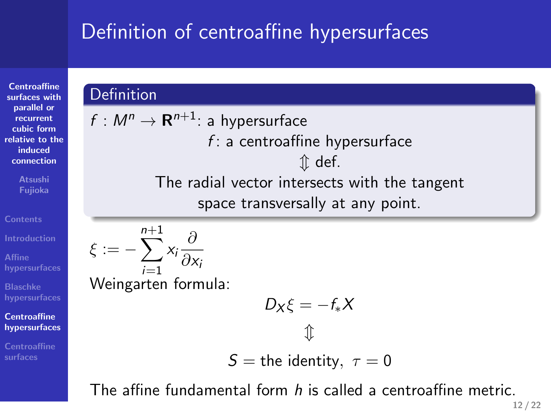# Definition of centroaffine hypersurfaces

**Centroaffine surfaces with parallel or recurrent cubic form relative to the induced connection**

**Atsushi Fujioka**

**Centroaffine surfaces**

**Affine hypersurfaces Blaschke hypersurfaces Centroaffine hypersurfaces**

 $\xi := -\sum_{n=1}^{n+1} x_i \frac{\partial}{\partial x_i}$ 

**Definition** 

$$
\sum_{i=1}^{N} \frac{\partial x_i}{\partial x_i}
$$
 Weingarten formula:

 $f : M^n \rightarrow \mathbf{R}^{n+1}$ : a hypersurface

$$
D_X\xi=-f_*X
$$

*f* : a centroaffine hypersurface *⇕* def. The radial vector intersects with the tangent space transversally at any point.

$$
S = \text{the identity}, \ \tau = 0
$$

The affine fundamental form *h* is called a centroaffine metric.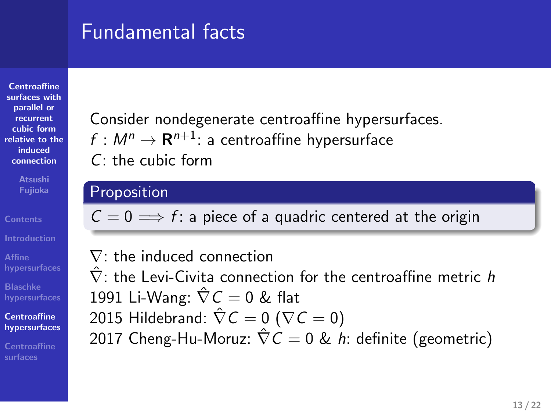### Fundamental facts

**Centroaffine surfaces with parallel or recurrent cubic form relative to the induced connection**

**Fujioka**

**Affine hypersurfaces Blaschke hypersurfaces Centroaffine hypersurfaces Centroaffine surfaces**

Consider nondegenerate centroaffine hypersurfaces.  $f : M^n \to \mathbf{R}^{n+1}$ : a centroaffine hypersurface *C*: the cubic form

#### **Proposition**

 $\overline{C} = 0 \Longrightarrow f$ : a piece of a quadric centered at the origin

*∇*: the induced connection *∇*ˆ : the Levi-Civita connection for the centroaffine metric *h* 1991 Li-Wang:  $\hat{\nabla} C = 0$  & flat 2015 Hildebrand:  $\hat{\nabla} C = 0$  ( $\nabla C = 0$ ) 2017 Cheng-Hu-Moruz: *∇*ˆ *C* = 0 & *h*: definite (geometric)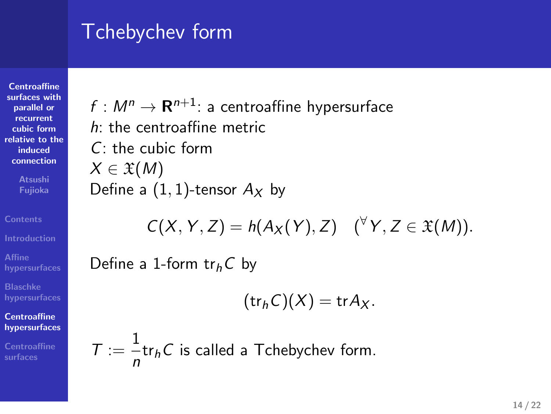## Tchebychev form

**Centroaffine surfaces with parallel or recurrent cubic form relative to the induced connection Atsushi Fujioka**

**Affine hypersurfaces Blaschke hypersurfaces Centroaffine hypersurfaces Centroaffine surfaces**

 $f : M^n \to \mathbf{R}^{n+1}$ : a centroaffine hypersurface *h*: the centroaffine metric *C*: the cubic form *X ∈* X(*M*) Define a  $(1, 1)$ -tensor  $A_X$  by

$$
C(X, Y, Z) = h(A_X(Y), Z) \quad (\forall Y, Z \in \mathfrak{X}(M)).
$$

Define a 1-form tr*hC* by

$$
(\operatorname{tr}_h C)(X) = \operatorname{tr} A_X.
$$

 $T := \frac{1}{1}$  $\frac{1}{n}$ tr<sub>h</sub>C is called a Tchebychev form.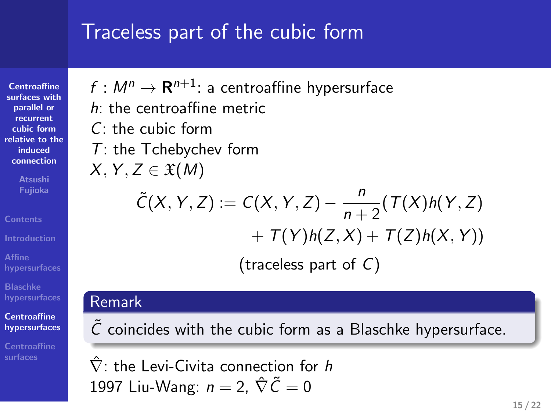## Traceless part of the cubic form

**Centroaffine surfaces with parallel or recurrent cubic form relative to the induced connection Atsushi Fujioka**

**Affine hypersurfaces Blaschke hypersurfaces Centroaffine hypersurfaces Centroaffine surfaces**

*C*: the cubic form *T*: the Tchebychev form

 $f : M^n \rightarrow \mathbf{R}^{n+1}$ : a centroaffine hypersurface

$$
X, Y, Z \in \mathfrak{X}(M)
$$

*h*: the centroaffine metric

$$
\tilde{C}(X, Y, Z) := C(X, Y, Z) - \frac{n}{n+2} (T(X)h(Y, Z) + T(Y)h(Z, X) + T(Z)h(X, Y))
$$

(traceless part of *C*)

### Remark

 $\tilde{C}$  coincides with the cubic form as a Blaschke hypersurface.

*∇*ˆ : the Levi-Civita connection for *h* 1997 Liu-Wang:  $n = 2$ ,  $\hat{\nabla} \tilde{C} = 0$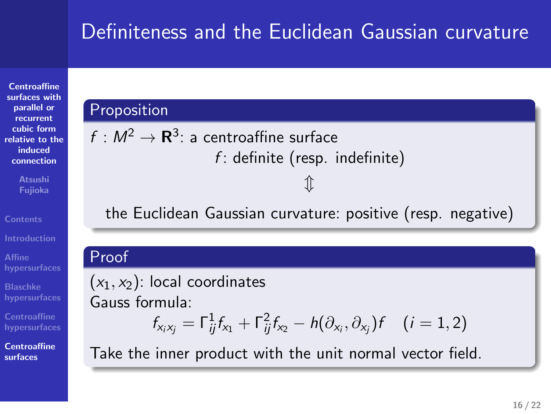## Definiteness and the Euclidean Gaussian curvature

**Centroaffine surfaces with parallel or recurrent cubic form relative to the induced connection Atsushi Fujioka Contents Affine hypersurfaces Blaschke hypersurfaces Centroaffine hypersurfaces**

Proposition

 $f: M^2 \rightarrow {\bf R}^3$ : a centroaffine surface

**Centroaffine surfaces**

*f* : definite (resp. indefinite) *⇕* the Euclidean Gaussian curvature: positive (resp. negative) Proof  $(x_1, x_2)$ : local coordinates Gauss formula:  $f_{x_i x_j} = \Gamma_{ij}^1 f_{x_1} + \Gamma_{ij}^2 f_{x_2} - h(\partial_{x_i}, \partial_{x_j}) f$  (*i* = 1, 2) Take the inner product with the unit normal vector field.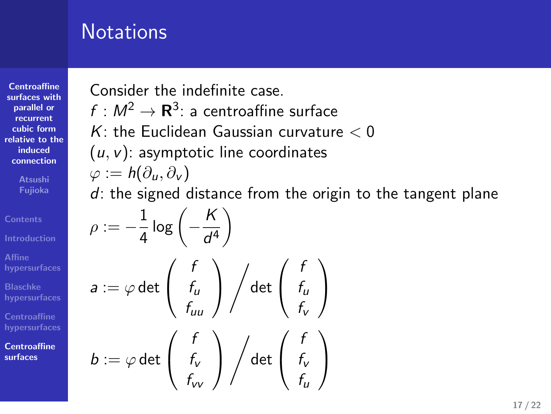## **Notations**

**Centroaffine surfaces with parallel or recurrent cubic form relative to the induced connection Atsushi Fujioka Affine hypersurfaces Blaschke hypersurfaces Centroaffine hypersurfaces Centroaffine surfaces**

Consider the indefinite case.

 $f : M^2 \to \mathbf{R}^3$ : a centroaffine surface

*K*: the Euclidean Gaussian curvature *<* 0

(*u, v*): asymptotic line coordinates

$$
\varphi:=h(\partial_u,\partial_v)
$$

*d*: the signed distance from the origin to the tangent plane

$$
\rho := -\frac{1}{4} \log \left( -\frac{K}{d^4} \right)
$$
\n
$$
a := \varphi \det \left( \begin{array}{c} f \\ f_u \\ f_{uu} \end{array} \right) \Big/ \det \left( \begin{array}{c} f \\ f_u \\ f_v \end{array} \right)
$$
\n
$$
b := \varphi \det \left( \begin{array}{c} f \\ f_v \\ f_v \end{array} \right) \Big/ \det \left( \begin{array}{c} f \\ f_v \\ f_v \end{array} \right)
$$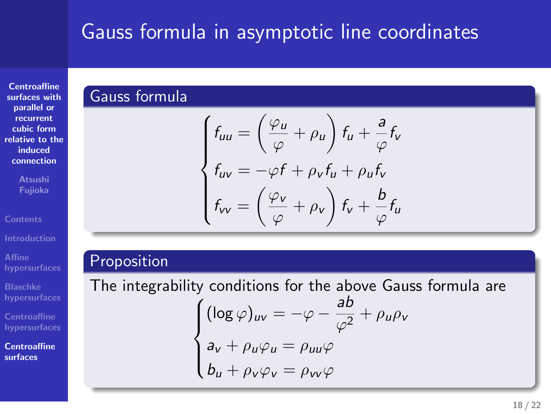# Gauss formula in asymptotic line coordinates

**Centroaffine surfaces with parallel or recurrent cubic form relative to the induced connection**

**Atsushi Fujioka Affine hypersurfaces**

**Blaschke hypersurfaces**

**Centroaffine hypersurfaces Centroaffine**

**surfaces**

Gauss formula  
\n
$$
\begin{cases}\nf_{uu} = \left(\frac{\varphi_u}{\varphi} + \rho_u\right) f_u + \frac{a}{\varphi} f_v \\
f_{uv} = -\varphi f + \rho_v f_u + \rho_u f_v \\
f_{vv} = \left(\frac{\varphi_v}{\varphi} + \rho_v\right) f_v + \frac{b}{\varphi} f_u\n\end{cases}
$$

#### Proposition

The integrability conditions for the above Gauss formula are  $\sqrt{ }$  $\int$  $\overline{\mathcal{L}}$  $(\log \varphi)_{uv} = -\varphi - \frac{ab}{\sqrt{2}}$  $\frac{du}{\varphi^2} + \rho_u \rho_v$  $a_v + \rho_u \varphi_u = \rho_{uu} \varphi$ *b*<sub>*u*</sub> +  $\rho_v \varphi_v = \rho_{vv} \varphi$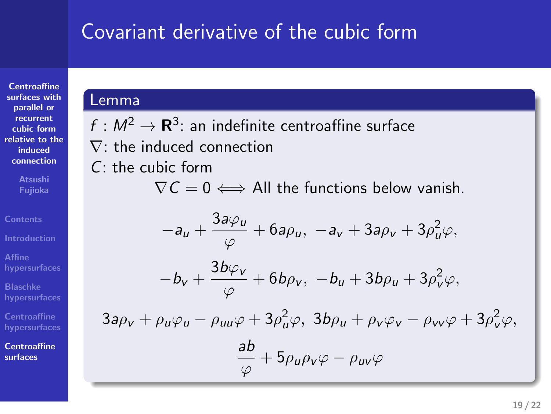### Covariant derivative of the cubic form

**Centroaffine surfaces with parallel or recurrent cubic form relative to the induced connection**

**Fujioka**

**Affine hypersurfaces Blaschke hypersurfaces Centroaffine hypersurfaces Centroaffine surfaces**

### Lemma

 $f: M^2 \to \mathbf{R}^3$ : an indefinite centroaffine surface

*∇*: the induced connection

*C*: the cubic form

*∇C* = 0 *⇐⇒* All the functions below vanish.

$$
-a_{u} + \frac{3a\varphi_{u}}{\varphi} + 6a\rho_{u}, \ -a_{v} + 3a\rho_{v} + 3\rho_{u}^{2}\varphi,
$$

$$
-b_{v} + \frac{3b\varphi_{v}}{\varphi} + 6b\rho_{v}, \ -b_{u} + 3b\rho_{u} + 3\rho_{v}^{2}\varphi,
$$

 $3a\rho_v + \rho_u\varphi_u - \rho_{uu}\varphi + 3\rho_u^2\varphi$ ,  $3b\rho_u + \rho_v\varphi_v - \rho_{vv}\varphi + 3\rho_v^2\varphi$ ,

$$
\frac{ab}{\varphi}+5\rho_{u}\rho_{v}\varphi-\rho_{uv}\varphi
$$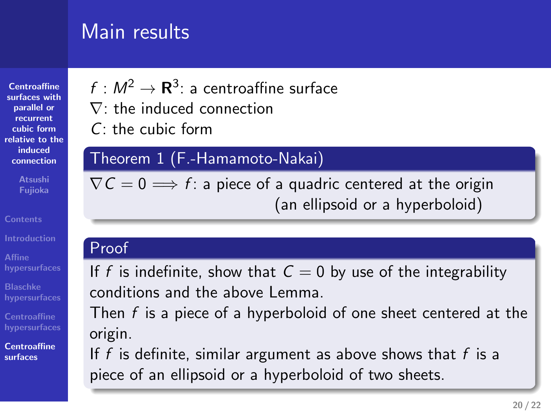## Main results

| <b>Centroaffine</b><br>surfaces with |  |
|--------------------------------------|--|
| parallel or                          |  |
| recurrent                            |  |
| cubic form                           |  |
| relative to the                      |  |
| induced                              |  |
| connection                           |  |
| <b>Atsushi</b><br>Fujioka            |  |
|                                      |  |

**Contents Affine hypersurfaces Blaschke hypersurfaces**

**hypersurfaces Centroaffine surfaces**

 $f: M^2 \rightarrow \mathbf{R}^3$ : a centroaffine surface *∇*: the induced connection

*C*: the cubic form

### Theorem 1 (F.-Hamamoto-Nakai)

 $\nabla \mathcal{C} = 0 \Longrightarrow f$ : a piece of a quadric centered at the origin (an ellipsoid or a hyperboloid)

### Proof

If *f* is indefinite, show that  $C = 0$  by use of the integrability conditions and the above Lemma.

Then *f* is a piece of a hyperboloid of one sheet centered at the origin.

If *f* is definite, similar argument as above shows that *f* is a piece of an ellipsoid or a hyperboloid of two sheets.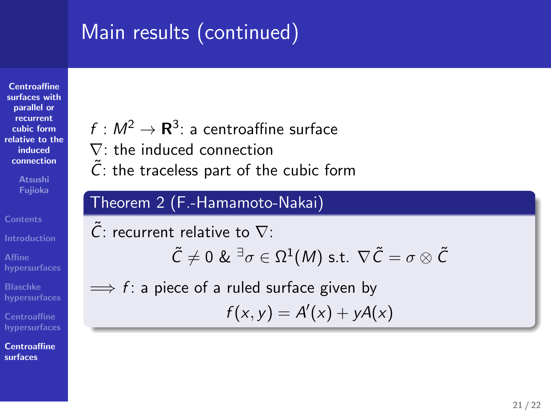## Main results (continued)

**Centroaffine surfaces with parallel or recurrent cubic form relative to the induced connection**

**Fujioka Contents**

**Affine hypersurfaces Blaschke hypersurfaces Centroaffine hypersurfaces Centroaffine surfaces**

- $f: M^2 \rightarrow {\bf R}^3$ : a centroaffine surface
- *∇*: the induced connection
- $\tilde{C}$ : the traceless part of the cubic form

### Theorem 2 (F.-Hamamoto-Nakai)

*C*˜: recurrent relative to *∇*:  $\tilde{\mathcal{C}}\neq 0$  &  $^{\exists}\sigma\in\Omega^1(M)$  s.t.  $\nabla\tilde{\mathcal{C}}=\sigma\otimes\tilde{\mathcal{C}}$ =*⇒ f* : a piece of a ruled surface given by  $f(x, y) = A'(x) + yA(x)$